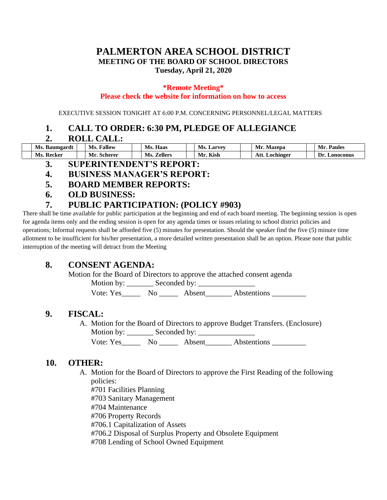## **PALMERTON AREA SCHOOL DISTRICT MEETING OF THE BOARD OF SCHOOL DIRECTORS Tuesday, April 21, 2020**

#### **\*Remote Meeting\* Please check the website for information on how to access**

EXECUTIVE SESSION TONIGHT AT 6:00 P.M. CONCERNING PERSONNEL/LEGAL MATTERS

## **1. CALL TO ORDER: 6:30 PM, PLEDGE OF ALLEGIANCE**

#### **2. ROLL CALL:**

| Ms.<br>- Baumgard. | Fallow<br>−<br>Ms. | Ms.<br>Haas           | Ms.<br>$\boldsymbol{\mathsf{\_}arvev}$ | Mazepa                                      | Mı<br>Paules   |
|--------------------|--------------------|-----------------------|----------------------------------------|---------------------------------------------|----------------|
| Ms.<br>– Recker    | Mr.<br>Scherer     | <b>Zellers</b><br>Ms. | $T/T$ $T$<br>M <sub>1</sub><br>AISD    | $\Lambda$ <sup>++</sup><br><b>⊥ochinger</b> | Lonoconus<br>m |

- **3. SUPERINTENDENT'S REPORT:**
- **4. BUSINESS MANAGER'S REPORT:**
- **5. BOARD MEMBER REPORTS:**
- **6. OLD BUSINESS:**

## **7. PUBLIC PARTICIPATION: (POLICY #903)**

There shall be time available for public participation at the beginning and end of each board meeting. The beginning session is open for agenda items only and the ending session is open for any agenda times or issues relating to school district policies and operations; Informal requests shall be afforded five (5) minutes for presentation. Should the speaker find the five (5) minute time allotment to be insufficient for his/her presentation, a more detailed written presentation shall be an option. Please note that public interruption of the meeting will detract from the Meeting

## **8. CONSENT AGENDA:**

Motion for the Board of Directors to approve the attached consent agenda

Motion by: \_\_\_\_\_\_\_ Seconded by: \_\_\_\_\_\_\_\_\_\_\_\_\_\_\_

Vote: Yes\_\_\_\_\_\_\_\_ No \_\_\_\_\_\_\_\_ Absent\_\_\_\_\_\_\_\_\_ Abstentions \_\_\_\_\_\_\_

### **9. FISCAL:**

A. Motion for the Board of Directors to approve Budget Transfers. (Enclosure) Motion by: \_\_\_\_\_\_\_ Seconded by: \_\_\_\_\_\_\_\_\_\_\_\_\_\_\_

Vote: Yes\_\_\_\_\_\_\_ No \_\_\_\_\_\_\_ Absent\_\_\_\_\_\_\_\_ Abstentions \_\_\_\_\_\_\_\_\_\_\_\_\_\_\_\_\_\_\_\_\_\_\_\_\_

### **10. OTHER:**

- A. Motion for the Board of Directors to approve the First Reading of the following policies:
	- #701 Facilities Planning
	- #703 Sanitary Management
	- #704 Maintenance
	- #706 Property Records
	- #706.1 Capitalization of Assets
	- #706.2 Disposal of Surplus Property and Obsolete Equipment
	- #708 Lending of School Owned Equipment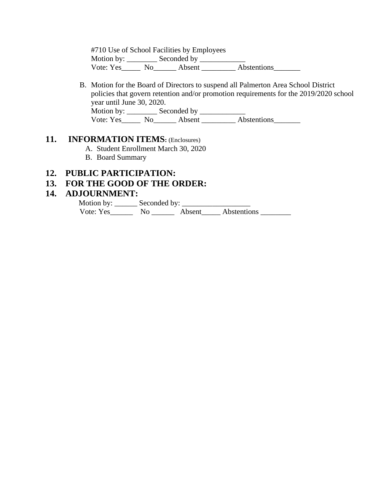#710 Use of School Facilities by Employees Motion by: \_\_\_\_\_\_\_\_ Seconded by \_\_\_\_\_\_\_\_\_\_\_\_ Vote: Yes\_\_\_\_\_\_ No\_\_\_\_\_\_\_ Absent \_\_\_\_\_\_\_\_\_ Abstentions\_\_\_\_\_\_\_\_

B. Motion for the Board of Directors to suspend all Palmerton Area School District policies that govern retention and/or promotion requirements for the 2019/2020 school year until June 30, 2020. Motion by: \_\_\_\_\_\_\_\_ Seconded by \_\_\_\_\_\_\_\_\_\_\_\_ Vote: Yes\_\_\_\_\_\_ No\_\_\_\_\_\_\_ Absent \_\_\_\_\_\_\_\_\_ Abstentions\_\_\_\_\_\_\_\_

#### **11. INFORMATION ITEMS:** (Enclosures)

- A. Student Enrollment March 30, 2020
- B. Board Summary

#### **12. PUBLIC PARTICIPATION:**

#### **13. FOR THE GOOD OF THE ORDER:**

#### **14. ADJOURNMENT:**

 Motion by: \_\_\_\_\_\_ Seconded by: \_\_\_\_\_\_\_\_\_\_\_\_\_\_\_\_\_\_ Vote: Yes\_\_\_\_\_\_ No \_\_\_\_\_\_ Absent\_\_\_\_\_ Abstentions \_\_\_\_\_\_\_\_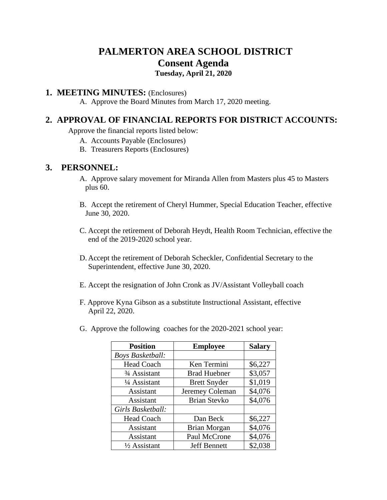# **PALMERTON AREA SCHOOL DISTRICT Consent Agenda**

## **Tuesday, April 21, 2020**

#### **1. MEETING MINUTES:** (Enclosures)

A. Approve the Board Minutes from March 17, 2020 meeting.

## **2. APPROVAL OF FINANCIAL REPORTS FOR DISTRICT ACCOUNTS:**

Approve the financial reports listed below:

- A. Accounts Payable (Enclosures)
- B. Treasurers Reports (Enclosures)

#### **3. PERSONNEL:**

- A. Approve salary movement for Miranda Allen from Masters plus 45 to Masters plus 60.
- B. Accept the retirement of Cheryl Hummer, Special Education Teacher, effective June 30, 2020.
- C. Accept the retirement of Deborah Heydt, Health Room Technician, effective the end of the 2019-2020 school year.
- D. Accept the retirement of Deborah Scheckler, Confidential Secretary to the Superintendent, effective June 30, 2020.
- E. Accept the resignation of John Cronk as JV/Assistant Volleyball coach
- F. Approve Kyna Gibson as a substitute Instructional Assistant, effective April 22, 2020.
- G. Approve the following coaches for the 2020-2021 school year:

| <b>Position</b>                       | <b>Employee</b>     | <b>Salary</b> |
|---------------------------------------|---------------------|---------------|
| <b>Boys Basketball:</b>               |                     |               |
| <b>Head Coach</b>                     | Ken Termini         | \$6,227       |
| <sup>3</sup> / <sub>4</sub> Assistant | <b>Brad Huebner</b> | \$3,057       |
| 1/4 Assistant                         | <b>Brett Snyder</b> | \$1,019       |
| Assistant                             | Jeremey Coleman     | \$4,076       |
| Assistant                             | <b>Brian Stevko</b> | \$4,076       |
| Girls Basketball:                     |                     |               |
| <b>Head Coach</b>                     | Dan Beck            | \$6,227       |
| Assistant                             | Brian Morgan        | \$4,076       |
| Assistant                             | Paul McCrone        | \$4,076       |
| $\frac{1}{2}$ Assistant               | <b>Jeff Bennett</b> | \$2,038       |